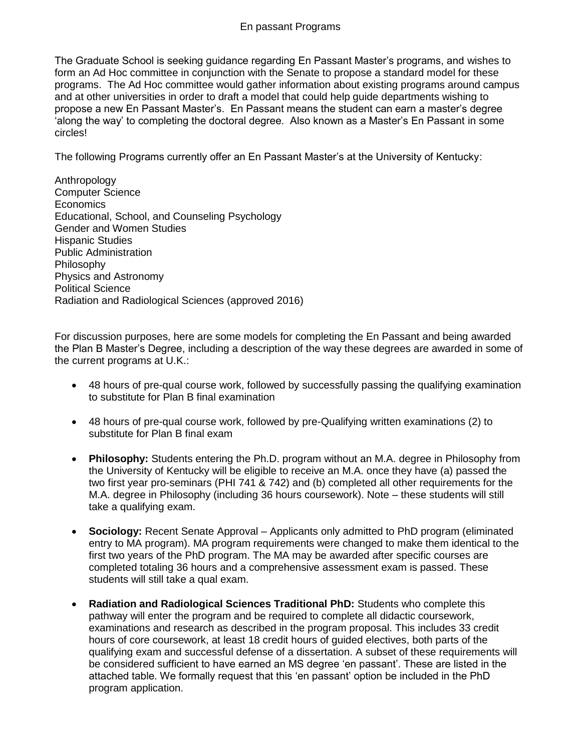## En passant Programs

The Graduate School is seeking guidance regarding En Passant Master's programs, and wishes to form an Ad Hoc committee in conjunction with the Senate to propose a standard model for these programs. The Ad Hoc committee would gather information about existing programs around campus and at other universities in order to draft a model that could help guide departments wishing to propose a new En Passant Master's. En Passant means the student can earn a master's degree 'along the way' to completing the doctoral degree. Also known as a Master's En Passant in some circles!

The following Programs currently offer an En Passant Master's at the University of Kentucky:

Anthropology Computer Science Economics Educational, School, and Counseling Psychology Gender and Women Studies Hispanic Studies Public Administration Philosophy Physics and Astronomy Political Science Radiation and Radiological Sciences (approved 2016)

For discussion purposes, here are some models for completing the En Passant and being awarded the Plan B Master's Degree, including a description of the way these degrees are awarded in some of the current programs at U.K.:

- 48 hours of pre-qual course work, followed by successfully passing the qualifying examination to substitute for Plan B final examination
- 48 hours of pre-qual course work, followed by pre-Qualifying written examinations (2) to substitute for Plan B final exam
- **Philosophy:** Students entering the Ph.D. program without an M.A. degree in Philosophy from the University of Kentucky will be eligible to receive an M.A. once they have (a) passed the two first year pro-seminars (PHI 741 & 742) and (b) completed all other requirements for the M.A. degree in Philosophy (including 36 hours coursework). Note – these students will still take a qualifying exam.
- **Sociology:** Recent Senate Approval Applicants only admitted to PhD program (eliminated entry to MA program). MA program requirements were changed to make them identical to the first two years of the PhD program. The MA may be awarded after specific courses are completed totaling 36 hours and a comprehensive assessment exam is passed. These students will still take a qual exam.
- **Radiation and Radiological Sciences Traditional PhD:** Students who complete this pathway will enter the program and be required to complete all didactic coursework, examinations and research as described in the program proposal. This includes 33 credit hours of core coursework, at least 18 credit hours of guided electives, both parts of the qualifying exam and successful defense of a dissertation. A subset of these requirements will be considered sufficient to have earned an MS degree 'en passant'. These are listed in the attached table. We formally request that this 'en passant' option be included in the PhD program application.